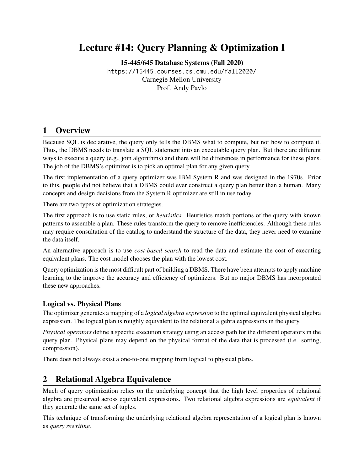## Lecture #14: Query Planning & Optimization I

[15-445/645 Database Systems \(Fall 2020\)](https://15445.courses.cs.cmu.edu/fall2020/)

<https://15445.courses.cs.cmu.edu/fall2020/> Carnegie Mellon University [Prof. Andy Pavlo](http://www.cs.cmu.edu/~pavlo/)

## 1 Overview

Because SQL is declarative, the query only tells the DBMS what to compute, but not how to compute it. Thus, the DBMS needs to translate a SQL statement into an executable query plan. But there are different ways to execute a query (e.g., join algorithms) and there will be differences in performance for these plans. The job of the DBMS's optimizer is to pick an optimal plan for any given query.

The first implementation of a query optimizer was IBM System R and was designed in the 1970s. Prior to this, people did not believe that a DBMS could ever construct a query plan better than a human. Many concepts and design decisions from the System R optimizer are still in use today.

There are two types of optimization strategies.

The first approach is to use static rules, or *heuristics*. Heuristics match portions of the query with known patterns to assemble a plan. These rules transform the query to remove inefficiencies. Although these rules may require consultation of the catalog to understand the structure of the data, they never need to examine the data itself.

An alternative approach is to use *cost-based search* to read the data and estimate the cost of executing equivalent plans. The cost model chooses the plan with the lowest cost.

Query optimization is the most difficult part of building a DBMS. There have been attempts to apply machine learning to the improve the accuracy and efficiency of optimizers. But no major DBMS has incorporated these new approaches.

## Logical vs. Physical Plans

The optimizer generates a mapping of a *logical algebra expression* to the optimal equivalent physical algebra expression. The logical plan is roughly equivalent to the relational algebra expressions in the query.

*Physical operators* define a specific execution strategy using an access path for the different operators in the query plan. Physical plans may depend on the physical format of the data that is processed (i.e. sorting, compression).

There does not always exist a one-to-one mapping from logical to physical plans.

## 2 Relational Algebra Equivalence

Much of query optimization relies on the underlying concept that the high level properties of relational algebra are preserved across equivalent expressions. Two relational algebra expressions are *equivalent* if they generate the same set of tuples.

This technique of transforming the underlying relational algebra representation of a logical plan is known as *query rewriting*.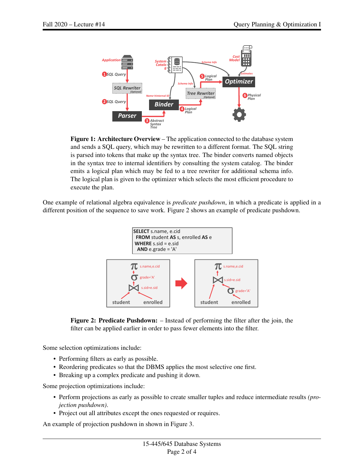

Figure 1: Architecture Overview – The application connected to the database system and sends a SQL query, which may be rewritten to a different format. The SQL string is parsed into tokens that make up the syntax tree. The binder converts named objects in the syntax tree to internal identifiers by consulting the system catalog. The binder emits a logical plan which may be fed to a tree rewriter for additional schema info. The logical plan is given to the optimizer which selects the most efficient procedure to execute the plan.

<span id="page-1-0"></span>One example of relational algebra equivalence is *predicate pushdown*, in which a predicate is applied in a different position of the sequence to save work. [Figure 2](#page-1-0) shows an example of predicate pushdown.





Some selection optimizations include:

- Performing filters as early as possible.
- Reordering predicates so that the DBMS applies the most selective one first.
- Breaking up a complex predicate and pushing it down.

Some projection optimizations include:

- Perform projections as early as possible to create smaller tuples and reduce intermediate results *(projection pushdown)*.
- Project out all attributes except the ones requested or requires.

An example of projection pushdown in shown in [Figure 3.](#page-2-0)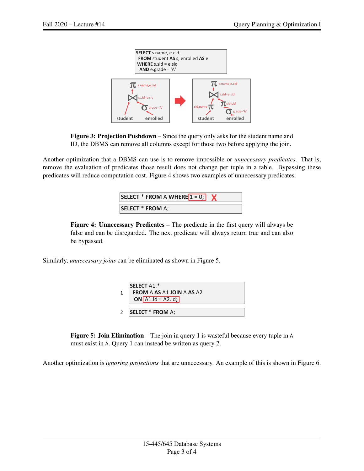<span id="page-2-0"></span>

Figure 3: Projection Pushdown – Since the query only asks for the student name and ID, the DBMS can remove all columns except for those two before applying the join.

<span id="page-2-1"></span>Another optimization that a DBMS can use is to remove impossible or *unnecessary predicates*. That is, remove the evaluation of predicates those result does not change per tuple in a table. Bypassing these predicates will reduce computation cost. [Figure 4](#page-2-1) shows two examples of unnecessary predicates.

| SELECT * FROM A WHERE $1 = 0$ ; |  |
|---------------------------------|--|
| <b>SELECT * FROM A;</b>         |  |

false and can be disregarded. The next predicate will always return true and can also Figure 4: Unnecessary Predicates – The predicate in the first query will always be be bypassed.

<span id="page-2-2"></span>Similarly, *unnecessary joins* can be eliminated as shown in [Figure 5.](#page-2-2)



Figure 5: Join Elimination – The join in query 1 is wasteful because every tuple in A must exist in A. Query 1 can instead be written as query 2.

Another optimization is *ignoring projections* that are unnecessary. An example of this is shown in [Figure 6.](#page-3-1)